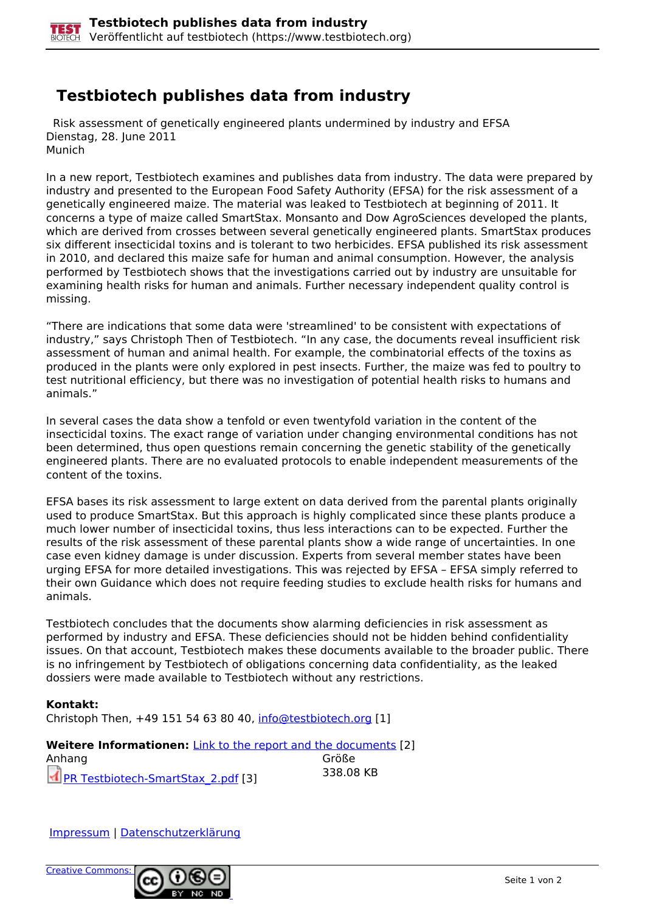## **Testbiotech publishes data from industry**

 Risk assessment of genetically engineered plants undermined by industry and EFSA Dienstag, 28. June 2011 Munich

In a new report, Testbiotech examines and publishes data from industry. The data were prepared by industry and presented to the European Food Safety Authority (EFSA) for the risk assessment of a genetically engineered maize. The material was leaked to Testbiotech at beginning of 2011. It concerns a type of maize called SmartStax. Monsanto and Dow AgroSciences developed the plants, which are derived from crosses between several genetically engineered plants. SmartStax produces six different insecticidal toxins and is tolerant to two herbicides. EFSA published its risk assessment in 2010, and declared this maize safe for human and animal consumption. However, the analysis performed by Testbiotech shows that the investigations carried out by industry are unsuitable for examining health risks for human and animals. Further necessary independent quality control is missing.

"There are indications that some data were 'streamlined' to be consistent with expectations of industry," says Christoph Then of Testbiotech. "In any case, the documents reveal insufficient risk assessment of human and animal health. For example, the combinatorial effects of the toxins as produced in the plants were only explored in pest insects. Further, the maize was fed to poultry to test nutritional efficiency, but there was no investigation of potential health risks to humans and animals."

In several cases the data show a tenfold or even twentyfold variation in the content of the insecticidal toxins. The exact range of variation under changing environmental conditions has not been determined, thus open questions remain concerning the genetic stability of the genetically engineered plants. There are no evaluated protocols to enable independent measurements of the content of the toxins.

EFSA bases its risk assessment to large extent on data derived from the parental plants originally used to produce SmartStax. But this approach is highly complicated since these plants produce a much lower number of insecticidal toxins, thus less interactions can to be expected. Further the results of the risk assessment of these parental plants show a wide range of uncertainties. In one case even kidney damage is under discussion. Experts from several member states have been urging EFSA for more detailed investigations. This was rejected by EFSA – EFSA simply referred to their own Guidance which does not require feeding studies to exclude health risks for humans and animals.

Testbiotech concludes that the documents show alarming deficiencies in risk assessment as performed by industry and EFSA. These deficiencies should not be hidden behind confidentiality issues. On that account, Testbiotech makes these documents available to the broader public. There is no infringement by Testbiotech of obligations concerning data confidentiality, as the leaked dossiers were made available to Testbiotech without any restrictions.

## **Kontakt:**  Christoph Then, +49 151 54 63 80 40, [info@testbiotech.org](mailto:info@testbiotech.org) [1]

**Weitere Informationen:** *Link to the report and the documents* [2] Anhang Größe PR Testbiotech-SmartStax\_2.pdf [3] 338.08 KB

Impressum | Datenschutzerklärung